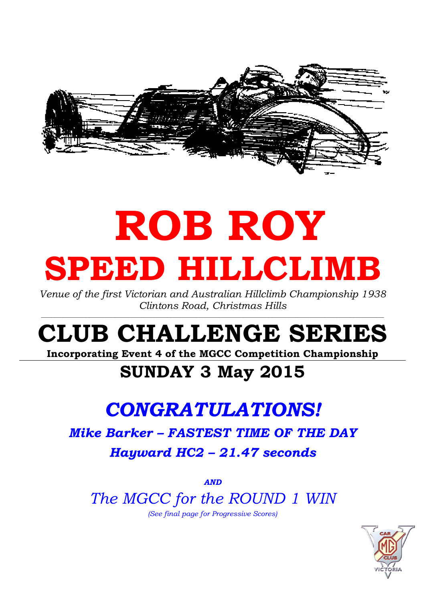

# ROB ROY SPEED HILLCLIMB

Venue of the first Victorian and Australian Hillclimb Championship 1938 Clintons Road, Christmas Hills

 $\_$  ,  $\_$  ,  $\_$  ,  $\_$  ,  $\_$  ,  $\_$  ,  $\_$  ,  $\_$  ,  $\_$  ,  $\_$  ,  $\_$  ,  $\_$  ,  $\_$  ,  $\_$  ,  $\_$  ,  $\_$  ,  $\_$  ,  $\_$  ,  $\_$  ,  $\_$  ,  $\_$  ,  $\_$  ,  $\_$  ,  $\_$  ,  $\_$  ,  $\_$  ,  $\_$  ,  $\_$  ,  $\_$  ,  $\_$  ,  $\_$  ,  $\_$  ,  $\_$  ,  $\_$  ,  $\_$  ,  $\_$  ,  $\_$  ,

## CLUB CHALLENGE SERIES

Incorporating Event 4 of the MGCC Competition Championship

## SUNDAY 3 May 2015

## CONGRATULATIONS!

Mike Barker – FASTEST TIME OF THE DAY Hayward HC2 – 21.47 seconds

AND

The MGCC for the ROUND 1 WIN

(See final page for Progressive Scores)

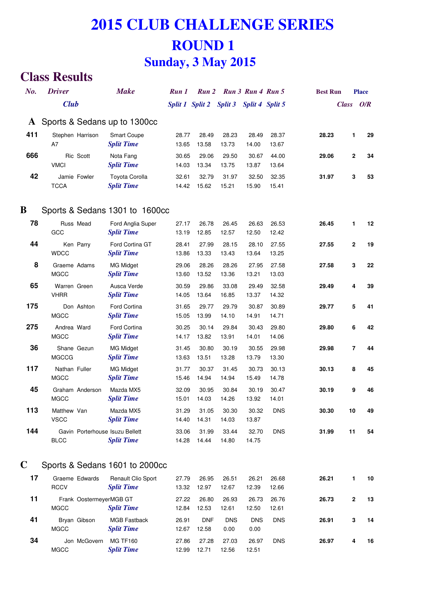#### **Class Results**

| No.          | <b>Driver</b>                |                         | <b>Make</b>                                          | Run 1           | Run 2          |                    | Run 3 Run 4 Run 5  |                | <b>Best Run</b> |                | <b>Place</b> |
|--------------|------------------------------|-------------------------|------------------------------------------------------|-----------------|----------------|--------------------|--------------------|----------------|-----------------|----------------|--------------|
|              | <b>Club</b>                  |                         |                                                      | Split 1 Split 2 |                | <b>Split 3</b>     | Split 4 Split 5    |                |                 | <b>Class</b>   | O/R          |
| $\mathbf{A}$ |                              |                         | Sports & Sedans up to 1300cc                         |                 |                |                    |                    |                |                 |                |              |
| 411          | A7                           | Stephen Harrison        | <b>Smart Coupe</b><br><b>Split Time</b>              | 28.77<br>13.65  | 28.49<br>13.58 | 28.23<br>13.73     | 28.49<br>14.00     | 28.37<br>13.67 | 28.23           | 1              | 29           |
| 666          | <b>VMCI</b>                  | Ric Scott               | Nota Fang<br><b>Split Time</b>                       | 30.65<br>14.03  | 29.06<br>13.34 | 29.50<br>13.75     | 30.67<br>13.87     | 44.00<br>13.64 | 29.06           | $\mathbf{2}$   | 34           |
| 42           | <b>TCCA</b>                  | Jamie Fowler            | Toyota Corolla<br><b>Split Time</b>                  | 32.61<br>14.42  | 32.79<br>15.62 | 31.97<br>15.21     | 32.50<br>15.90     | 32.35<br>15.41 | 31.97           | 3              | 53           |
| В            |                              |                         | Sports & Sedans 1301 to 1600cc                       |                 |                |                    |                    |                |                 |                |              |
| 78           | GCC                          | Russ Mead               | Ford Anglia Super<br><b>Split Time</b>               | 27.17<br>13.19  | 26.78<br>12.85 | 26.45<br>12.57     | 26.63<br>12.50     | 26.53<br>12.42 | 26.45           | 1              | 12           |
| 44           | <b>WDCC</b>                  | Ken Parry               | Ford Cortina GT<br><b>Split Time</b>                 | 28.41<br>13.86  | 27.99<br>13.33 | 28.15<br>13.43     | 28.10<br>13.64     | 27.55<br>13.25 | 27.55           | $\mathbf 2$    | 19           |
| 8            | Graeme Adams<br><b>MGCC</b>  |                         | <b>MG Midget</b><br><b>Split Time</b>                | 29.06<br>13.60  | 28.26<br>13.52 | 28.26<br>13.36     | 27.95<br>13.21     | 27.58<br>13.03 | 27.58           | 3              | 22           |
| 65           | Warren Green<br><b>VHRR</b>  |                         | Ausca Verde<br><b>Split Time</b>                     | 30.59<br>14.05  | 29.86<br>13.64 | 33.08<br>16.85     | 29.49<br>13.37     | 32.58<br>14.32 | 29.49           | 4              | 39           |
| 175          | <b>MGCC</b>                  | Don Ashton              | Ford Cortina<br><b>Split Time</b>                    | 31.65<br>15.05  | 29.77<br>13.99 | 29.79<br>14.10     | 30.87<br>14.91     | 30.89<br>14.71 | 29.77           | 5              | 41           |
| 275          | Andrea Ward<br><b>MGCC</b>   |                         | Ford Cortina<br><b>Split Time</b>                    | 30.25<br>14.17  | 30.14<br>13.82 | 29.84<br>13.91     | 30.43<br>14.01     | 29.80<br>14.06 | 29.80           | 6              | 42           |
| 36           | <b>MGCCG</b>                 | Shane Gezun             | <b>MG Midget</b><br><b>Split Time</b>                | 31.45<br>13.63  | 30.80<br>13.51 | 30.19<br>13.28     | 30.55<br>13.79     | 29.98<br>13.30 | 29.98           | $\overline{7}$ | 44           |
| 117          | Nathan Fuller<br><b>MGCC</b> |                         | <b>MG Midget</b><br><b>Split Time</b>                | 31.77<br>15.46  | 30.37<br>14.94 | 31.45<br>14.94     | 30.73<br>15.49     | 30.13<br>14.78 | 30.13           | 8              | 45           |
| 45           | <b>MGCC</b>                  | Graham Anderson         | Mazda MX5<br><b>Split Time</b>                       | 32.09<br>15.01  | 30.95<br>14.03 | 30.84<br>14.26     | 30.19<br>13.92     | 30.47<br>14.01 | 30.19           | 9              | 46           |
| 113          | Matthew Van<br><b>VSCC</b>   |                         | Mazda MX5<br><b>Split Time</b>                       | 31.29<br>14.40  | 31.05<br>14.31 | 30.30<br>14.03     | 30.32<br>13.87     | <b>DNS</b>     | 30.30           | 10             | 49           |
| 144          | <b>BLCC</b>                  |                         | Gavin Porterhouse Isuzu Bellett<br><b>Split Time</b> | 33.06<br>14.28  | 31.99<br>14.44 | 33.44<br>14.80     | 32.70<br>14.75     | <b>DNS</b>     | 31.99           | 11             | 54           |
| C            |                              |                         | Sports & Sedans 1601 to 2000cc                       |                 |                |                    |                    |                |                 |                |              |
| 17           | <b>RCCV</b>                  | Graeme Edwards          | Renault Clio Sport<br><b>Split Time</b>              | 27.79<br>13.32  | 26.95<br>12.97 | 26.51<br>12.67     | 26.21<br>12.39     | 26.68<br>12.66 | 26.21           | 1              | 10           |
| 11           | <b>MGCC</b>                  | Frank OostermeyerMGB GT | <b>Split Time</b>                                    | 27.22<br>12.84  | 26.80<br>12.53 | 26.93<br>12.61     | 26.73<br>12.50     | 26.76<br>12.61 | 26.73           | $\mathbf 2$    | 13           |
| 41           | <b>MGCC</b>                  | Bryan Gibson            | <b>MGB Fastback</b><br><b>Split Time</b>             | 26.91<br>12.67  | DNF<br>12.58   | <b>DNS</b><br>0.00 | <b>DNS</b><br>0.00 | <b>DNS</b>     | 26.91           | 3              | 14           |
| 34           | <b>MGCC</b>                  | Jon McGovern            | <b>MG TF160</b><br><b>Split Time</b>                 | 27.86<br>12.99  | 27.28<br>12.71 | 27.03<br>12.56     | 26.97<br>12.51     | <b>DNS</b>     | 26.97           | 4              | 16           |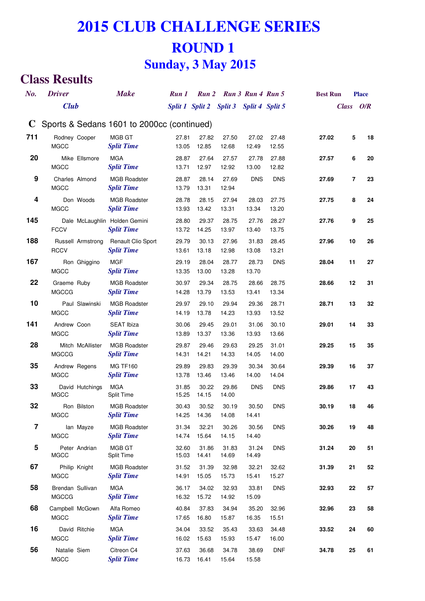#### **Class Results**

| No.         | <b>Driver</b>                    |                   | <b>Make</b>                                        | Run 1           |                | Run 2 Run 3 Run 4 Run 5 |                |                | <b>Best Run</b> |           | <b>Place</b> |
|-------------|----------------------------------|-------------------|----------------------------------------------------|-----------------|----------------|-------------------------|----------------|----------------|-----------------|-----------|--------------|
|             | <b>Club</b>                      |                   |                                                    | Split 1 Split 2 |                | Split 3 Split 4 Split 5 |                |                |                 | Class O/R |              |
| $\mathbf C$ |                                  |                   | Sports & Sedans 1601 to 2000cc (continued)         |                 |                |                         |                |                |                 |           |              |
| 711         | Rodney Cooper<br><b>MGCC</b>     |                   | MGB GT<br><b>Split Time</b>                        | 27.81<br>13.05  | 27.82<br>12.85 | 27.50<br>12.68          | 27.02<br>12.49 | 27.48<br>12.55 | 27.02           | 5         | 18           |
| 20          | <b>MGCC</b>                      | Mike Ellsmore     | <b>MGA</b><br><b>Split Time</b>                    | 28.87<br>13.71  | 27.64<br>12.97 | 27.57<br>12.92          | 27.78<br>13.00 | 27.88<br>12.82 | 27.57           | 6         | 20           |
| 9           | Charles Almond<br><b>MGCC</b>    |                   | <b>MGB Roadster</b><br><b>Split Time</b>           | 28.87<br>13.79  | 28.14<br>13.31 | 27.69<br>12.94          | <b>DNS</b>     | <b>DNS</b>     | 27.69           | 7         | 23           |
| 4           | <b>MGCC</b>                      | Don Woods         | <b>MGB Roadster</b><br><b>Split Time</b>           | 28.78<br>13.93  | 28.15<br>13.42 | 27.94<br>13.31          | 28.03<br>13.34 | 27.75<br>13.20 | 27.75           | 8         | 24           |
| 145         | <b>FCCV</b>                      |                   | Dale McLaughlin Holden Gemini<br><b>Split Time</b> | 28.80<br>13.72  | 29.37<br>14.25 | 28.75<br>13.97          | 27.76<br>13.40 | 28.27<br>13.75 | 27.76           | 9         | 25           |
| 188         | <b>RCCV</b>                      | Russell Armstrong | Renault Clio Sport<br><b>Split Time</b>            | 29.79<br>13.61  | 30.13<br>13.18 | 27.96<br>12.98          | 31.83<br>13.08 | 28.45<br>13.21 | 27.96           | 10        | 26           |
| 167         | <b>MGCC</b>                      | Ron Ghiggino      | <b>MGF</b><br><b>Split Time</b>                    | 29.19<br>13.35  | 28.04<br>13.00 | 28.77<br>13.28          | 28.73<br>13.70 | <b>DNS</b>     | 28.04           | 11        | 27           |
| 22          | Graeme Ruby<br><b>MGCCG</b>      |                   | <b>MGB Roadster</b><br><b>Split Time</b>           | 30.97<br>14.28  | 29.34<br>13.79 | 28.75<br>13.53          | 28.66<br>13.41 | 28.75<br>13.34 | 28.66           | 12        | 31           |
| 10          | <b>MGCC</b>                      | Paul Slawinski    | <b>MGB Roadster</b><br><b>Split Time</b>           | 29.97<br>14.19  | 29.10<br>13.78 | 29.94<br>14.23          | 29.36<br>13.93 | 28.71<br>13.52 | 28.71           | 13        | 32           |
| 141         | Andrew Coon<br><b>MGCC</b>       |                   | <b>SEAT Ibiza</b><br><b>Split Time</b>             | 30.06<br>13.89  | 29.45<br>13.37 | 29.01<br>13.36          | 31.06<br>13.93 | 30.10<br>13.66 | 29.01           | 14        | 33           |
| 28          | <b>MGCCG</b>                     | Mitch McAllister  | <b>MGB Roadster</b><br><b>Split Time</b>           | 29.87<br>14.31  | 29.46<br>14.21 | 29.63<br>14.33          | 29.25<br>14.05 | 31.01<br>14.00 | 29.25           | 15        | 35           |
| 35          | Andrew Regens<br><b>MGCC</b>     |                   | <b>MG TF160</b><br><b>Split Time</b>               | 29.89<br>13.78  | 29.83<br>13.46 | 29.39<br>13.46          | 30.34<br>14.00 | 30.64<br>14.04 | 29.39           | 16        | 37           |
| 33          | <b>MGCC</b>                      | David Hutchings   | <b>MGA</b><br>Split Time                           | 31.85<br>15.25  | 30.22<br>14.15 | 29.86<br>14.00          | <b>DNS</b>     | <b>DNS</b>     | 29.86           | 17        | 43           |
| 32          | <b>MGCC</b>                      | Ron Bilston       | <b>MGB Roadster</b><br><b>Split Time</b>           | 30.43<br>14.25  | 30.52<br>14.36 | 30.19<br>14.08          | 30.50<br>14.41 | <b>DNS</b>     | 30.19           | 18        | 46           |
| 7           | <b>MGCC</b>                      | lan Mayze         | <b>MGB Roadster</b><br><b>Split Time</b>           | 31.34<br>14.74  | 32.21<br>15.64 | 30.26<br>14.15          | 30.56<br>14.40 | <b>DNS</b>     | 30.26           | 19        | 48           |
| 5           | <b>MGCC</b>                      | Peter Andrian     | MGB GT<br>Split Time                               | 32.60<br>15.03  | 31.86<br>14.41 | 31.83<br>14.69          | 31.24<br>14.49 | <b>DNS</b>     | 31.24           | 20        | 51           |
| 67          | <b>MGCC</b>                      | Philip Knight     | <b>MGB Roadster</b><br><b>Split Time</b>           | 31.52<br>14.91  | 31.39<br>15.05 | 32.98<br>15.73          | 32.21<br>15.41 | 32.62<br>15.27 | 31.39           | 21        | 52           |
| 58          | Brendan Sullivan<br><b>MGCCG</b> |                   | <b>MGA</b><br><b>Split Time</b>                    | 36.17<br>16.32  | 34.02<br>15.72 | 32.93<br>14.92          | 33.81<br>15.09 | <b>DNS</b>     | 32.93           | 22        | 57           |
| 68          | Campbell McGown<br><b>MGCC</b>   |                   | Alfa Romeo<br><b>Split Time</b>                    | 40.84<br>17.65  | 37.83<br>16.80 | 34.94<br>15.87          | 35.20<br>16.35 | 32.96<br>15.51 | 32.96           | 23        | 58           |
| 16          | <b>MGCC</b>                      | David Ritchie     | <b>MGA</b><br><b>Split Time</b>                    | 34.04<br>16.02  | 33.52<br>15.63 | 35.43<br>15.93          | 33.63<br>15.47 | 34.48<br>16.00 | 33.52           | 24        | 60           |
| 56          | Natalie Siem<br>MGCC             |                   | Citreon C4<br><b>Split Time</b>                    | 37.63<br>16.73  | 36.68<br>16.41 | 34.78<br>15.64          | 38.69<br>15.58 | <b>DNF</b>     | 34.78           | 25        | 61           |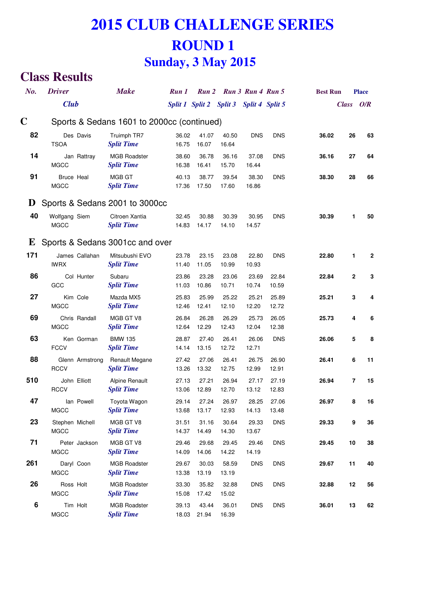#### **Class Results**

| No.              | <b>Driver</b>                    |                 | <b>Make</b>                                | Run 1          | Run 2          |                                         | Run 3 Run 4 Run 5 |                | <b>Best Run</b> |                          | <b>Place</b> |
|------------------|----------------------------------|-----------------|--------------------------------------------|----------------|----------------|-----------------------------------------|-------------------|----------------|-----------------|--------------------------|--------------|
|                  | <b>Club</b>                      |                 |                                            |                |                | Split 1 Split 2 Split 3 Split 4 Split 5 |                   |                |                 | <b>Class</b>             | O/R          |
| C                |                                  |                 | Sports & Sedans 1601 to 2000cc (continued) |                |                |                                         |                   |                |                 |                          |              |
| 82               | Des Davis<br><b>TSOA</b>         |                 | Truimph TR7<br><b>Split Time</b>           | 36.02<br>16.75 | 41.07<br>16.07 | 40.50<br>16.64                          | <b>DNS</b>        | <b>DNS</b>     | 36.02           | 26                       | 63           |
| 14               | <b>MGCC</b>                      | Jan Rattray     | <b>MGB Roadster</b><br><b>Split Time</b>   | 38.60<br>16.38 | 36.78<br>16.41 | 36.16<br>15.70                          | 37.08<br>16.44    | <b>DNS</b>     | 36.16           | 27                       | 64           |
| 91               | <b>Bruce Heal</b><br><b>MGCC</b> |                 | MGB GT<br><b>Split Time</b>                | 40.13<br>17.36 | 38.77<br>17.50 | 39.54<br>17.60                          | 38.30<br>16.86    | <b>DNS</b>     | 38.30           | 28                       | 66           |
| $\mathbf D$      |                                  |                 | Sports & Sedans 2001 to 3000cc             |                |                |                                         |                   |                |                 |                          |              |
| 40               | Wolfgang Siem<br><b>MGCC</b>     |                 | Citroen Xantia<br><b>Split Time</b>        | 32.45<br>14.83 | 30.88<br>14.17 | 30.39<br>14.10                          | 30.95<br>14.57    | <b>DNS</b>     | 30.39           | 1                        | 50           |
| E                |                                  |                 | Sports & Sedans 3001cc and over            |                |                |                                         |                   |                |                 |                          |              |
| 171              | James Callahan<br><b>IWRX</b>    |                 | Mitsubushi EVO<br><b>Split Time</b>        | 23.78<br>11.40 | 23.15<br>11.05 | 23.08<br>10.99                          | 22.80<br>10.93    | <b>DNS</b>     | 22.80           | 1                        | 2            |
| 86               | GCC                              | Col Hunter      | Subaru<br><b>Split Time</b>                | 23.86<br>11.03 | 23.28<br>10.86 | 23.06<br>10.71                          | 23.69<br>10.74    | 22.84<br>10.59 | 22.84           | $\boldsymbol{2}$         | 3            |
| 27               | Kim Cole<br><b>MGCC</b>          |                 | Mazda MX5<br><b>Split Time</b>             | 25.83<br>12.46 | 25.99<br>12.41 | 25.22<br>12.10                          | 25.21<br>12.20    | 25.89<br>12.72 | 25.21           | 3                        | 4            |
| 69               | <b>MGCC</b>                      | Chris Randall   | MGB GT V8<br><b>Split Time</b>             | 26.84<br>12.64 | 26.28<br>12.29 | 26.29<br>12.43                          | 25.73<br>12.04    | 26.05<br>12.38 | 25.73           | 4                        | 6            |
| 63               | <b>FCCV</b>                      | Ken Gorman      | <b>BMW 135</b><br><b>Split Time</b>        | 28.87<br>14.14 | 27.40<br>13.15 | 26.41<br>12.72                          | 26.06<br>12.71    | <b>DNS</b>     | 26.06           | 5                        | 8            |
| 88               | <b>RCCV</b>                      | Glenn Armstrong | <b>Renault Megane</b><br><b>Split Time</b> | 27.42<br>13.26 | 27.06<br>13.32 | 26.41<br>12.75                          | 26.75<br>12.99    | 26.90<br>12.91 | 26.41           | 6                        | 11           |
| 510              | John Elliott<br><b>RCCV</b>      |                 | <b>Alpine Renault</b><br><b>Split Time</b> | 27.13<br>13.06 | 27.21<br>12.89 | 26.94<br>12.70                          | 27.17<br>13.12    | 27.19<br>12.83 | 26.94           | $\overline{\phantom{a}}$ | 15           |
| 47               | <b>MGCC</b>                      | lan Powell      | Toyota Wagon<br><b>Split Time</b>          | 29.14<br>13.68 | 27.24<br>13.17 | 26.97<br>12.93                          | 28.25<br>14.13    | 27.06<br>13.48 | 26.97           | 8                        | 16           |
| 23               | Stephen Michell<br><b>MGCC</b>   |                 | MGB GT V8<br><b>Split Time</b>             | 31.51<br>14.37 | 31.16<br>14.49 | 30.64<br>14.30                          | 29.33<br>13.67    | <b>DNS</b>     | 29.33           | 9                        | 36           |
| 71               | <b>MGCC</b>                      | Peter Jackson   | MGB GT V8<br><b>Split Time</b>             | 29.46<br>14.09 | 29.68<br>14.06 | 29.45<br>14.22                          | 29.46<br>14.19    | <b>DNS</b>     | 29.45           | 10                       | 38           |
| 261              | Daryl Coon<br><b>MGCC</b>        |                 | <b>MGB Roadster</b><br><b>Split Time</b>   | 29.67<br>13.38 | 30.03<br>13.19 | 58.59<br>13.19                          | <b>DNS</b>        | <b>DNS</b>     | 29.67           | 11                       | 40           |
| 26               | Ross Holt<br><b>MGCC</b>         |                 | <b>MGB Roadster</b><br><b>Split Time</b>   | 33.30<br>15.08 | 35.82<br>17.42 | 32.88<br>15.02                          | <b>DNS</b>        | <b>DNS</b>     | 32.88           | 12                       | 56           |
| $\boldsymbol{6}$ | Tim Holt<br><b>MGCC</b>          |                 | <b>MGB Roadster</b><br><b>Split Time</b>   | 39.13<br>18.03 | 43.44<br>21.94 | 36.01<br>16.39                          | <b>DNS</b>        | <b>DNS</b>     | 36.01           | 13                       | 62           |